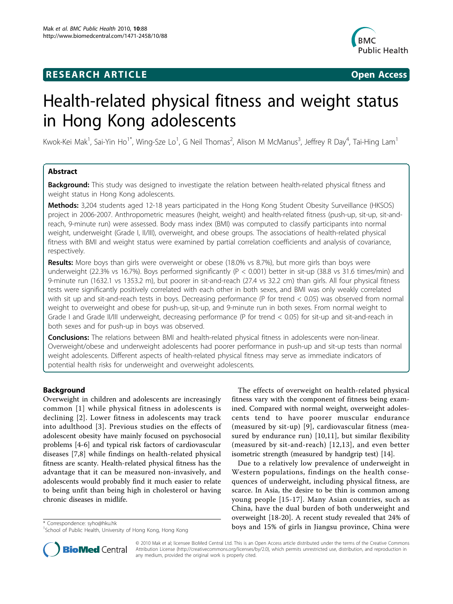## **RESEARCH ARTICLE Example 2018 Open Access**



# Health-related physical fitness and weight status in Hong Kong adolescents

Kwok-Kei Mak<sup>1</sup>, Sai-Yin Ho<sup>1\*</sup>, Wing-Sze Lo<sup>1</sup>, G Neil Thomas<sup>2</sup>, Alison M McManus<sup>3</sup>, Jeffrey R Day<sup>4</sup>, Tai-Hing Lam<sup>1</sup>

## Abstract

**Background:** This study was designed to investigate the relation between health-related physical fitness and weight status in Hong Kong adolescents.

Methods: 3,204 students aged 12-18 years participated in the Hong Kong Student Obesity Surveillance (HKSOS) project in 2006-2007. Anthropometric measures (height, weight) and health-related fitness (push-up, sit-up, sit-andreach, 9-minute run) were assessed. Body mass index (BMI) was computed to classify participants into normal weight, underweight (Grade I, II/III), overweight, and obese groups. The associations of health-related physical fitness with BMI and weight status were examined by partial correlation coefficients and analysis of covariance, respectively.

Results: More boys than girls were overweight or obese (18.0% vs 8.7%), but more girls than boys were underweight (22.3% vs 16.7%). Boys performed significantly ( $P < 0.001$ ) better in sit-up (38.8 vs 31.6 times/min) and 9-minute run (1632.1 vs 1353.2 m), but poorer in sit-and-reach (27.4 vs 32.2 cm) than girls. All four physical fitness tests were significantly positively correlated with each other in both sexes, and BMI was only weakly correlated with sit up and sit-and-reach tests in boys. Decreasing performance (P for trend < 0.05) was observed from normal weight to overweight and obese for push-up, sit-up, and 9-minute run in both sexes. From normal weight to Grade I and Grade II/III underweight, decreasing performance (P for trend < 0.05) for sit-up and sit-and-reach in both sexes and for push-up in boys was observed.

Conclusions: The relations between BMI and health-related physical fitness in adolescents were non-linear. Overweight/obese and underweight adolescents had poorer performance in push-up and sit-up tests than normal weight adolescents. Different aspects of health-related physical fitness may serve as immediate indicators of potential health risks for underweight and overweight adolescents.

## Background

Overweight in children and adolescents are increasingly common [[1](#page-3-0)] while physical fitness in adolescents is declining [[2](#page-3-0)]. Lower fitness in adolescents may track into adulthood [[3](#page-3-0)]. Previous studies on the effects of adolescent obesity have mainly focused on psychosocial problems [[4-](#page-3-0)[6](#page-4-0)] and typical risk factors of cardiovascular diseases [\[7](#page-4-0),[8\]](#page-4-0) while findings on health-related physical fitness are scanty. Health-related physical fitness has the advantage that it can be measured non-invasively, and adolescents would probably find it much easier to relate to being unfit than being high in cholesterol or having chronic diseases in midlife.

The effects of overweight on health-related physical fitness vary with the component of fitness being examined. Compared with normal weight, overweight adolescents tend to have poorer muscular endurance (measured by sit-up) [\[9\]](#page-4-0), cardiovascular fitness (measured by endurance run) [[10,11](#page-4-0)], but similar flexibility (measured by sit-and-reach) [[12](#page-4-0),[13](#page-4-0)], and even better isometric strength (measured by handgrip test) [\[14\]](#page-4-0).

Due to a relatively low prevalence of underweight in Western populations, findings on the health consequences of underweight, including physical fitness, are scarce. In Asia, the desire to be thin is common among young people [[15-17\]](#page-4-0). Many Asian countries, such as China, have the dual burden of both underweight and overweight [\[18](#page-4-0)-[20\]](#page-4-0). A recent study revealed that 24% of \* Correspondence: [syho@hku.hk](mailto:syho@hku.hk)<br><sup>1</sup>School of Public Hoalth University of Hoac Kong Hoan Kong **\* boys and 15% of girls in Jiangsu province, China were** 



© 2010 Mak et al; licensee BioMed Central Ltd. This is an Open Access article distributed under the terms of the Creative Commons Attribution License [\(http://creativecommons.org/licenses/by/2.0](http://creativecommons.org/licenses/by/2.0)), which permits unrestricted use, distribution, and reproduction in any medium, provided the original work is properly cited.

<sup>&</sup>lt;sup>1</sup>School of Public Health, University of Hong Kong, Hong Kong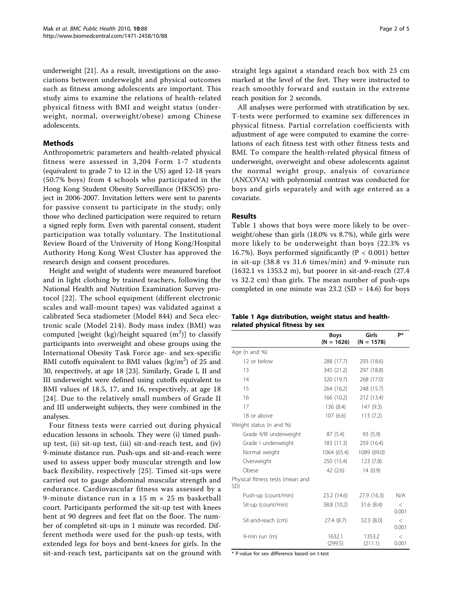underweight [[21\]](#page-4-0). As a result, investigations on the associations between underweight and physical outcomes such as fitness among adolescents are important. This study aims to examine the relations of health-related physical fitness with BMI and weight status (underweight, normal, overweight/obese) among Chinese adolescents.

## Methods

Anthropometric parameters and health-related physical fitness were assessed in 3,204 Form 1-7 students (equivalent to grade 7 to 12 in the US) aged 12-18 years (50.7% boys) from 4 schools who participated in the Hong Kong Student Obesity Surveillance (HKSOS) project in 2006-2007. Invitation letters were sent to parents for passive consent to participate in the study; only those who declined participation were required to return a signed reply form. Even with parental consent, student participation was totally voluntary. The Institutional Review Board of the University of Hong Kong/Hospital Authority Hong Kong West Cluster has approved the research design and consent procedures.

Height and weight of students were measured barefoot and in light clothing by trained teachers, following the National Health and Nutrition Examination Survey protocol [[22](#page-4-0)]. The school equipment (different electronic scales and wall-mount tapes) was validated against a calibrated Seca stadiometer (Model 844) and Seca electronic scale (Model 214). Body mass index (BMI) was computed [weight (kg)/height squared  $(m^2)$ ] to classify participants into overweight and obese groups using the International Obesity Task Force age- and sex-specific BMI cutoffs equivalent to BMI values  $(kg/m^2)$  of 25 and 30, respectively, at age 18 [[23\]](#page-4-0). Similarly, Grade I, II and III underweight were defined using cutoffs equivalent to BMI values of 18.5, 17, and 16, respectively, at age 18 [[24\]](#page-4-0). Due to the relatively small numbers of Grade II and III underweight subjects, they were combined in the analyses.

Four fitness tests were carried out during physical education lessons in schools. They were (i) timed pushup test, (ii) sit-up test, (iii) sit-and-reach test, and (iv) 9-minute distance run. Push-ups and sit-and-reach were used to assess upper body muscular strength and low back flexibility, respectively [[25\]](#page-4-0). Timed sit-ups were carried out to gauge abdominal muscular strength and endurance. Cardiovascular fitness was assessed by a 9-minute distance run in a 15 m  $\times$  25 m basketball court. Participants performed the sit-up test with knees bent at 90 degrees and feet flat on the floor. The number of completed sit-ups in 1 minute was recorded. Different methods were used for the push-up tests, with extended legs for boys and bent-knees for girls. In the sit-and-reach test, participants sat on the ground with straight legs against a standard reach box with 23 cm marked at the level of the feet. They were instructed to reach smoothly forward and sustain in the extreme reach position for 2 seconds.

All analyses were performed with stratification by sex. T-tests were performed to examine sex differences in physical fitness. Partial correlation coefficients with adjustment of age were computed to examine the correlations of each fitness test with other fitness tests and BMI. To compare the health-related physical fitness of underweight, overweight and obese adolescents against the normal weight group, analysis of covariance (ANCOVA) with polynomial contrast was conducted for boys and girls separately and with age entered as a covariate.

## Results

Table 1 shows that boys were more likely to be overweight/obese than girls (18.0% vs 8.7%), while girls were more likely to be underweight than boys (22.3% vs 16.7%). Boys performed significantly ( $P < 0.001$ ) better in sit-up (38.8 vs 31.6 times/min) and 9-minute run (1632.1 vs 1353.2 m), but poorer in sit-and-reach (27.4 vs 32.2 cm) than girls. The mean number of push-ups completed in one minute was  $23.2$  (SD = 14.6) for boys

## Table 1 Age distribution, weight status and healthrelated physical fitness by sex

|                                         | <b>Boys</b><br>$(N = 1626)$ | Girls<br>$(N = 1578)$ | p*               |
|-----------------------------------------|-----------------------------|-----------------------|------------------|
| Age (n and %)                           |                             |                       |                  |
| 12 or below                             | 288 (17.7)                  | 293 (18.6)            |                  |
| 13                                      | 345 (21.2)                  | 297 (18.8)            |                  |
| 14                                      | 320 (19.7)                  | 268 (17.0)            |                  |
| 15                                      | 264 (16.2)                  | 248 (15.7)            |                  |
| 16                                      | 166 (10.2)                  | 212 (13.4)            |                  |
| 17                                      | 136 (8.4)                   | 147(9.3)              |                  |
| 18 or above                             | 107 (6.6)                   | 113(7.2)              |                  |
| Weight status (n and %)                 |                             |                       |                  |
| Grade II/III underweight                | 87 (5.4)                    | 93 (5.9)              |                  |
| Grade I underweight                     | 183 (11.3)                  | 259 (16.4)            |                  |
| Normal weight                           | 1064 (65.4)                 | 1089 (69.0)           |                  |
| Overweight                              | 250 (15.4)                  | 123 (7.8)             |                  |
| Obese                                   | 42 (2.6)                    | 14(0.9)               |                  |
| Physical fitness tests (mean and<br>SD) |                             |                       |                  |
| Push-up (count/min)                     | 23.2 (14.6)                 | 27.9 (16.3)           | N/A              |
| Sit-up (count/min)                      | 38.8 (10.2)                 | 31.6(8.4)             | $\,<\,$<br>0.001 |
| Sit-and-reach (cm)                      | 27.4 (8.7)                  | 32.3(8.0)             | $\,<$<br>0.001   |
| 9-min run (m)                           | 1632.1<br>(299.5)           | 1353.2<br>(211.1)     | $\,<\,$<br>0.001 |

\* P-value for sex difference based on t-test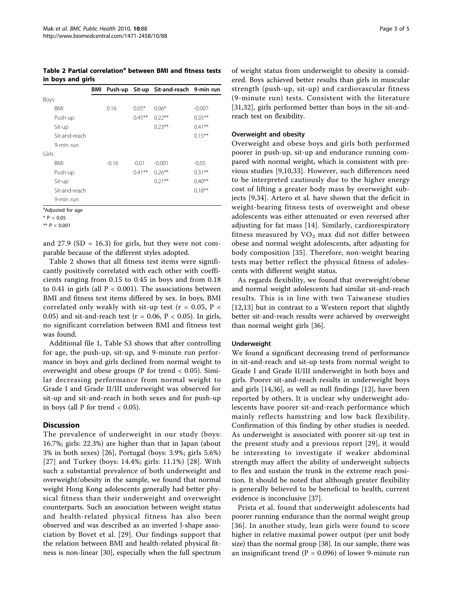Table 2 Partial correlation<sup>a</sup> between BMI and fitness tests in boys and girls

|             |               | <b>BMI</b> |         |           | Push-up Sit-up Sit-and-reach 9-min run |           |
|-------------|---------------|------------|---------|-----------|----------------------------------------|-----------|
| <b>Boys</b> |               |            |         |           |                                        |           |
|             | <b>BMI</b>    |            | 0.16    | $0.05*$   | $0.06*$                                | $-0.007$  |
|             | Push-up       |            |         | $0.45***$ | $0.22***$                              | $0.35***$ |
|             | Sit-up        |            |         |           | $0.23***$                              | $0.41***$ |
|             | Sit-and-reach |            |         |           |                                        | $0.15***$ |
|             | 9-min run     |            |         |           |                                        |           |
| Girls       |               |            |         |           |                                        |           |
|             | <b>BMI</b>    |            | $-0.16$ | $-0.01$   | $-0.001$                               | $-0.05$   |
|             | Push-up       |            |         | $0.41***$ | $0.26***$                              | $0.31***$ |
|             | Sit-up        |            |         |           | $0.21***$                              | $0.40**$  |
|             | Sit-and-reach |            |         |           |                                        | $0.18***$ |
|             | 9-min run     |            |         |           |                                        |           |

<sup>a</sup>Adjusted for age

and  $27.9$  (SD = 16.3) for girls, but they were not comparable because of the different styles adopted.

Table 2 shows that all fitness test items were significantly positively correlated with each other with coefficients ranging from 0.15 to 0.45 in boys and from 0.18 to 0.41 in girls (all  $P < 0.001$ ). The associations between BMI and fitness test items differed by sex. In boys, BMI correlated only weakly with sit-up test ( $r = 0.05$ ,  $P <$ 0.05) and sit-and-reach test ( $r = 0.06$ ,  $P < 0.05$ ). In girls, no significant correlation between BMI and fitness test was found.

Additional file [1,](#page-3-0) Table S3 shows that after controlling for age, the push-up, sit-up, and 9-minute run performance in boys and girls declined from normal weight to overweight and obese groups ( $P$  for trend < 0.05). Similar decreasing performance from normal weight to Grade I and Grade II/III underweight was observed for sit-up and sit-and-reach in both sexes and for push-up in boys (all P for trend  $< 0.05$ ).

## **Discussion**

The prevalence of underweight in our study (boys: 16.7%; girls: 22.3%) are higher than that in Japan (about 3% in both sexes) [\[26](#page-4-0)], Portugal (boys: 3.9%; girls 5.6%) [[27](#page-4-0)] and Turkey (boys: 14.4%; girls: 11.1%) [\[28\]](#page-4-0). With such a substantial prevalence of both underweight and overweight/obesity in the sample, we found that normal weight Hong Kong adolescents generally had better physical fitness than their underweight and overweight counterparts. Such an association between weight status and health-related physical fitness has also been observed and was described as an inverted J-shape association by Bovet et al. [[29](#page-4-0)]. Our findings support that the relation between BMI and health-related physical fitness is non-linear [\[30](#page-4-0)], especially when the full spectrum

of weight status from underweight to obesity is considered. Boys achieved better results than girls in muscular strength (push-up, sit-up) and cardiovascular fitness (9-minute run) tests. Consistent with the literature [[31,32](#page-4-0)], girls performed better than boys in the sit-andreach test on flexibility.

#### Overweight and obesity

Overweight and obese boys and girls both performed poorer in push-up, sit-up and endurance running compared with normal weight, which is consistent with previous studies [[9,10,33](#page-4-0)]. However, such differences need to be interpreted cautiously due to the higher energy cost of lifting a greater body mass by overweight subjects [\[9,34\]](#page-4-0). Artero et al. have shown that the deficit in weight-bearing fitness tests of overweight and obese adolescents was either attenuated or even reversed after adjusting for fat mass [\[14](#page-4-0)]. Similarly, cardiorespiratory fitness measured by  $VO<sub>2</sub>$  max did not differ between obese and normal weight adolescents, after adjusting for body composition [[35](#page-4-0)]. Therefore, non-weight bearing tests may better reflect the physical fitness of adolescents with different weight status.

As regards flexibility, we found that overweight/obese and normal weight adolescents had similar sit-and-reach results. This is in line with two Taiwanese studies [[12,13](#page-4-0)] but in contrast to a Western report that slightly better sit-and-reach results were achieved by overweight than normal weight girls [\[36](#page-4-0)].

## Underweight

We found a significant decreasing trend of performance in sit-and-reach and sit-up tests from normal weight to Grade I and Grade II/III underweight in both boys and girls. Poorer sit-and-reach results in underweight boys and girls [[14,36\]](#page-4-0), as well as null findings [[12\]](#page-4-0), have been reported by others. It is unclear why underweight adolescents have poorer sit-and-reach performance which mainly reflects hamstring and low back flexibility. Confirmation of this finding by other studies is needed. As underweight is associated with poorer sit-up test in the present study and a previous report [[29\]](#page-4-0), it would be interesting to investigate if weaker abdominal strength may affect the ability of underweight subjects to flex and sustain the trunk in the extreme reach position. It should be noted that although greater flexibility is generally believed to be beneficial to health, current evidence is inconclusive [\[37\]](#page-4-0).

Prista et al. found that underweight adolescents had poorer running endurance than the normal weight group [[36\]](#page-4-0). In another study, lean girls were found to score higher in relative maximal power output (per unit body size) than the normal group [\[38\]](#page-4-0). In our sample, there was an insignificant trend ( $P = 0.096$ ) of lower 9-minute run

 $*$  P < 0.05

<sup>\*\*</sup>  $P < 0.001$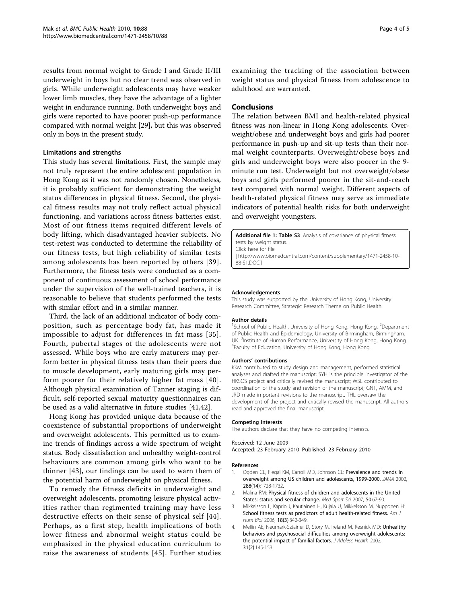<span id="page-3-0"></span>results from normal weight to Grade I and Grade II/III underweight in boys but no clear trend was observed in girls. While underweight adolescents may have weaker lower limb muscles, they have the advantage of a lighter weight in endurance running. Both underweight boys and girls were reported to have poorer push-up performance compared with normal weight [\[29\]](#page-4-0), but this was observed only in boys in the present study.

### Limitations and strengths

This study has several limitations. First, the sample may not truly represent the entire adolescent population in Hong Kong as it was not randomly chosen. Nonetheless, it is probably sufficient for demonstrating the weight status differences in physical fitness. Second, the physical fitness results may not truly reflect actual physical functioning, and variations across fitness batteries exist. Most of our fitness items required different levels of body lifting, which disadvantaged heavier subjects. No test-retest was conducted to determine the reliability of our fitness tests, but high reliability of similar tests among adolescents has been reported by others [[39\]](#page-4-0). Furthermore, the fitness tests were conducted as a component of continuous assessment of school performance under the supervision of the well-trained teachers, it is reasonable to believe that students performed the tests with similar effort and in a similar manner.

Third, the lack of an additional indicator of body composition, such as percentage body fat, has made it impossible to adjust for differences in fat mass [[35\]](#page-4-0). Fourth, pubertal stages of the adolescents were not assessed. While boys who are early maturers may perform better in physical fitness tests than their peers due to muscle development, early maturing girls may perform poorer for their relatively higher fat mass [\[40\]](#page-4-0). Although physical examination of Tanner staging is difficult, self-reported sexual maturity questionnaires can be used as a valid alternative in future studies [[41,42](#page-4-0)].

Hong Kong has provided unique data because of the coexistence of substantial proportions of underweight and overweight adolescents. This permitted us to examine trends of findings across a wide spectrum of weight status. Body dissatisfaction and unhealthy weight-control behaviours are common among girls who want to be thinner [[43](#page-4-0)], our findings can be used to warn them of the potential harm of underweight on physical fitness.

To remedy the fitness deficits in underweight and overweight adolescents, promoting leisure physical activities rather than regimented training may have less destructive effects on their sense of physical self [[44](#page-4-0)]. Perhaps, as a first step, health implications of both lower fitness and abnormal weight status could be emphasized in the physical education curriculum to raise the awareness of students [[45\]](#page-4-0). Further studies examining the tracking of the association between weight status and physical fitness from adolescence to adulthood are warranted.

### Conclusions

The relation between BMI and health-related physical fitness was non-linear in Hong Kong adolescents. Overweight/obese and underweight boys and girls had poorer performance in push-up and sit-up tests than their normal weight counterparts. Overweight/obese boys and girls and underweight boys were also poorer in the 9 minute run test. Underweight but not overweight/obese boys and girls performed poorer in the sit-and-reach test compared with normal weight. Different aspects of health-related physical fitness may serve as immediate indicators of potential health risks for both underweight and overweight youngsters.

Additional file 1: Table S3. Analysis of covariance of physical fitness tests by weight status. Click here for file [ http://www.biomedcentral.com/content/supplementary/1471-2458-10-

#### Acknowledgements

This study was supported by the University of Hong Kong, University Research Committee, Strategic Research Theme on Public Health

#### Author details

88-S1.DOC ]

<sup>1</sup>School of Public Health, University of Hong Kong, Hong Kong. <sup>2</sup>Department of Public Health and Epidemiology, University of Birmingham, Birmingham, UK.<sup>3</sup>Institute of Human Performance, University of Hong Kong, Hong Kong <sup>4</sup>Faculty of Education, University of Hong Kong, Hong Kong.

#### Authors' contributions

KKM contributed to study design and management, performed statistical analyses and drafted the manuscript; SYH is the principle investigator of the HKSOS project and critically revised the manuscript; WSL contributed to coordination of the study and revision of the manuscript; GNT, AMM, and JRD made important revisions to the manuscript. THL oversaw the development of the project and critically revised the manuscript. All authors read and approved the final manuscript.

#### Competing interests

The authors declare that they have no competing interests.

#### Received: 12 June 2009

Accepted: 23 February 2010 Published: 23 February 2010

#### References

- 1. Ogden CL, Flegal KM, Carroll MD, Johnson CL: [Prevalence and trends in](http://www.ncbi.nlm.nih.gov/pubmed/12365956?dopt=Abstract) [overweight among US children and adolescents, 1999-2000.](http://www.ncbi.nlm.nih.gov/pubmed/12365956?dopt=Abstract) JAMA 2002, 288(14):1728-1732.
- 2. Malina RM: [Physical fitness of children and adolescents in the United](http://www.ncbi.nlm.nih.gov/pubmed/17387252?dopt=Abstract) [States: status and secular change.](http://www.ncbi.nlm.nih.gov/pubmed/17387252?dopt=Abstract) Med Sport Sci 2007, 50:67-90.
- 3. Mikkelsson L, Kaprio J, Kautiainen H, Kujala U, Mikkelsson M, Nupponen H: [School fitness tests as predictors of adult health-related fitness.](http://www.ncbi.nlm.nih.gov/pubmed/16634020?dopt=Abstract) Am J Hum Biol 2006, 18(3):342-349.
- 4. Mellin AE, Neumark-Sztainer D, Story M, Ireland M, Resnick MD: [Unhealthy](http://www.ncbi.nlm.nih.gov/pubmed/12127384?dopt=Abstract) [behaviors and psychosocial difficulties among overweight adolescents:](http://www.ncbi.nlm.nih.gov/pubmed/12127384?dopt=Abstract) [the potential impact of familial factors.](http://www.ncbi.nlm.nih.gov/pubmed/12127384?dopt=Abstract) J Adolesc Health 2002, 31(2):145-153.